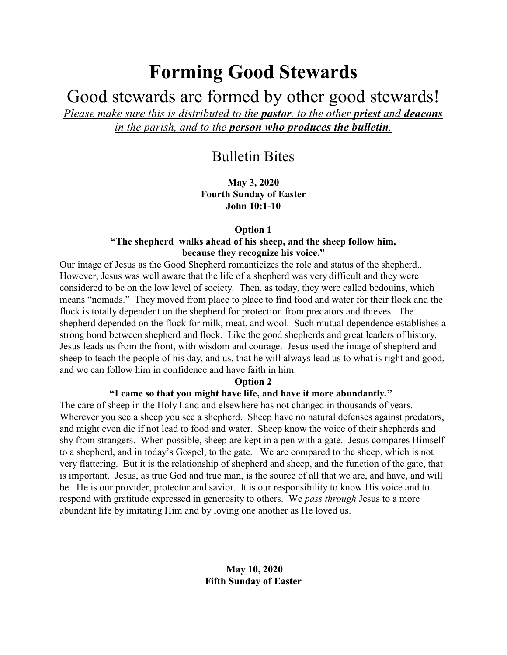# **Forming Good Stewards**

Good stewards are formed by other good stewards!

*Please make sure this is distributed to the pastor, to the other priest and deacons in the parish, and to the person who produces the bulletin.*

# Bulletin Bites

**May 3, 2020 Fourth Sunday of Easter John 10:1-10**

### **Option 1**

# **"The shepherd walks ahead of his sheep, and the sheep follow him, because they recognize his voice."**

Our image of Jesus as the Good Shepherd romanticizes the role and status of the shepherd.. However, Jesus was well aware that the life of a shepherd was very difficult and they were considered to be on the low level of society. Then, as today, they were called bedouins, which means "nomads." They moved from place to place to find food and water for their flock and the flock is totally dependent on the shepherd for protection from predators and thieves. The shepherd depended on the flock for milk, meat, and wool. Such mutual dependence establishes a strong bond between shepherd and flock. Like the good shepherds and great leaders of history, Jesus leads us from the front, with wisdom and courage. Jesus used the image of shepherd and sheep to teach the people of his day, and us, that he will always lead us to what is right and good, and we can follow him in confidence and have faith in him.

# **Option 2**

# **"I came so that you might have life, and have it more abundantly***.***"**

The care of sheep in the Holy Land and elsewhere has not changed in thousands of years. Wherever you see a sheep you see a shepherd. Sheep have no natural defenses against predators, and might even die if not lead to food and water. Sheep know the voice of their shepherds and shy from strangers. When possible, sheep are kept in a pen with a gate. Jesus compares Himself to a shepherd, and in today's Gospel, to the gate. We are compared to the sheep, which is not very flattering. But it is the relationship of shepherd and sheep, and the function of the gate, that is important. Jesus, as true God and true man, is the source of all that we are, and have, and will be. He is our provider, protector and savior. It is our responsibility to know His voice and to respond with gratitude expressed in generosity to others. We *pass through* Jesus to a more abundant life by imitating Him and by loving one another as He loved us.

# **May 10, 2020 Fifth Sunday of Easter**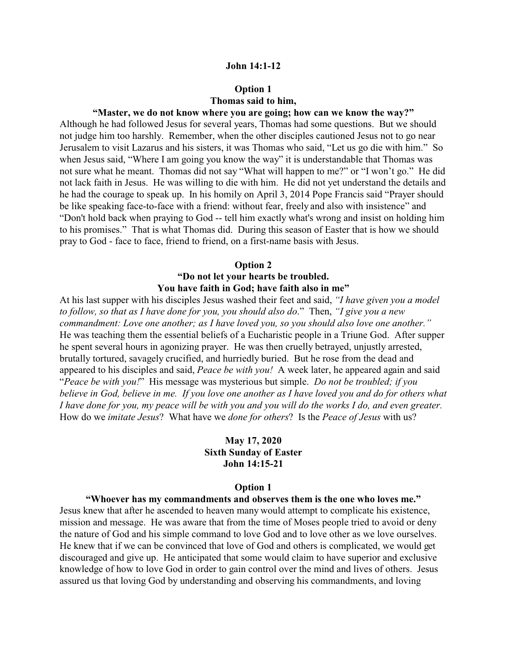#### **John 14:1-12**

# **Option 1 Thomas said to him,**

# **"Master, we do not know where you are going; how can we know the way?"**

Although he had followed Jesus for several years, Thomas had some questions. But we should not judge him too harshly. Remember, when the other disciples cautioned Jesus not to go near Jerusalem to visit Lazarus and his sisters, it was Thomas who said, "Let us go die with him." So when Jesus said, "Where I am going you know the way" it is understandable that Thomas was not sure what he meant. Thomas did not say "What will happen to me?" or "I won't go." He did not lack faith in Jesus. He was willing to die with him. He did not yet understand the details and he had the courage to speak up. In his homily on April 3, 2014 Pope Francis said "Prayer should be like speaking face-to-face with a friend: without fear, freely and also with insistence" and "Don't hold back when praying to God -- tell him exactly what's wrong and insist on holding him to his promises." That is what Thomas did. During this season of Easter that is how we should pray to God - face to face, friend to friend, on a first-name basis with Jesus.

#### **Option 2**

# **"Do not let your hearts be troubled. You have faith in God; have faith also in me"**

At his last supper with his disciples Jesus washed their feet and said, *"I have given you a model to follow, so that as I have done for you, you should also do*." Then, *"I give you a new commandment: Love one another; as I have loved you, so you should also love one another."* He was teaching them the essential beliefs of a Eucharistic people in a Triune God. After supper he spent several hours in agonizing prayer. He was then cruelly betrayed, unjustly arrested, brutally tortured, savagely crucified, and hurriedly buried. But he rose from the dead and appeared to his disciples and said, *Peace be with you!* A week later, he appeared again and said "*Peace be with you!*" His message was mysterious but simple. *Do not be troubled; if you believe in God, believe in me. If you love one another as I have loved you and do for others what I have done for you, my peace will be with you and you will do the works I do, and even greater.* How do we *imitate Jesus*? What have we *done for others*? Is the *Peace of Jesus* with us?

# **May 17, 2020 Sixth Sunday of Easter John 14:15-21**

#### **Option 1**

#### **"Whoever has my commandments and observes them is the one who loves me."**

Jesus knew that after he ascended to heaven many would attempt to complicate his existence, mission and message. He was aware that from the time of Moses people tried to avoid or deny the nature of God and his simple command to love God and to love other as we love ourselves. He knew that if we can be convinced that love of God and others is complicated, we would get discouraged and give up. He anticipated that some would claim to have superior and exclusive knowledge of how to love God in order to gain control over the mind and lives of others. Jesus assured us that loving God by understanding and observing his commandments, and loving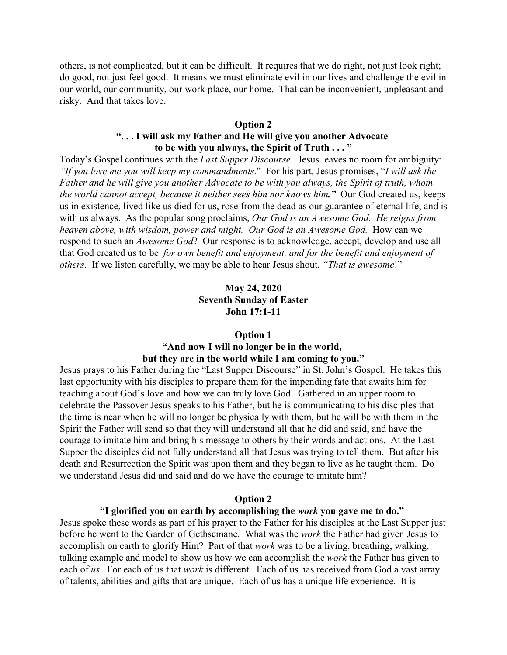others, is not complicated, but it can be difficult. It requires that we do right, not just look right; do good, not just feel good. It means we must eliminate evil in our lives and challenge the evil in our world, our community, our work place, our home. That can be inconvenient, unpleasant and risky. And that takes love.

# **Option 2**

# **". . . I will ask my Father and He will give you another Advocate to be with you always, the Spirit of Truth . . . "**

Today's Gospel continues with the *Last Supper Discourse*. Jesus leaves no room for ambiguity: *"If you love me you will keep my commandments*." For his part, Jesus promises, "*I will ask the Father and he will give you another Advocate to be with you always, the Spirit of truth, whom the world cannot accept, because it neither sees him nor knows him."* Our God created us, keeps us in existence, lived like us died for us, rose from the dead as our guarantee of eternal life, and is with us always. As the popular song proclaims, *Our God is an Awesome God. He reigns from heaven above, with wisdom, power and might. Our God is an Awesome God.* How can we respond to such an *Awesome God*? Our response is to acknowledge, accept, develop and use all that God created us to be *for own benefit and enjoyment, and for the benefit and enjoyment of others*. If we listen carefully, we may be able to hear Jesus shout, *"That is awesome*!"

# **May 24, 2020 Seventh Sunday of Easter John 17:1-11**

# **Option 1**

# **"And now I will no longer be in the world, but they are in the world while I am coming to you."**

Jesus prays to his Father during the "Last Supper Discourse" in St. John's Gospel. He takes this last opportunity with his disciples to prepare them for the impending fate that awaits him for teaching about God's love and how we can truly love God. Gathered in an upper room to celebrate the Passover Jesus speaks to his Father, but he is communicating to his disciples that the time is near when he will no longer be physically with them, but he will be with them in the Spirit the Father will send so that they will understand all that he did and said, and have the courage to imitate him and bring his message to others by their words and actions. At the Last Supper the disciples did not fully understand all that Jesus was trying to tell them. But after his death and Resurrection the Spirit was upon them and they began to live as he taught them. Do we understand Jesus did and said and do we have the courage to imitate him?

#### **Option 2**

#### **"I glorified you on earth by accomplishing the** *work* **you gave me to do."**

Jesus spoke these words as part of his prayer to the Father for his disciples at the Last Supper just before he went to the Garden of Gethsemane. What was the *work* the Father had given Jesus to accomplish on earth to glorify Him? Part of that *work* was to be a living, breathing, walking, talking example and model to show us how we can accomplish the *work* the Father has given to each of *us*. For each of us that *work* is different. Each of us has received from God a vast array of talents, abilities and gifts that are unique. Each of us has a unique life experience. It is